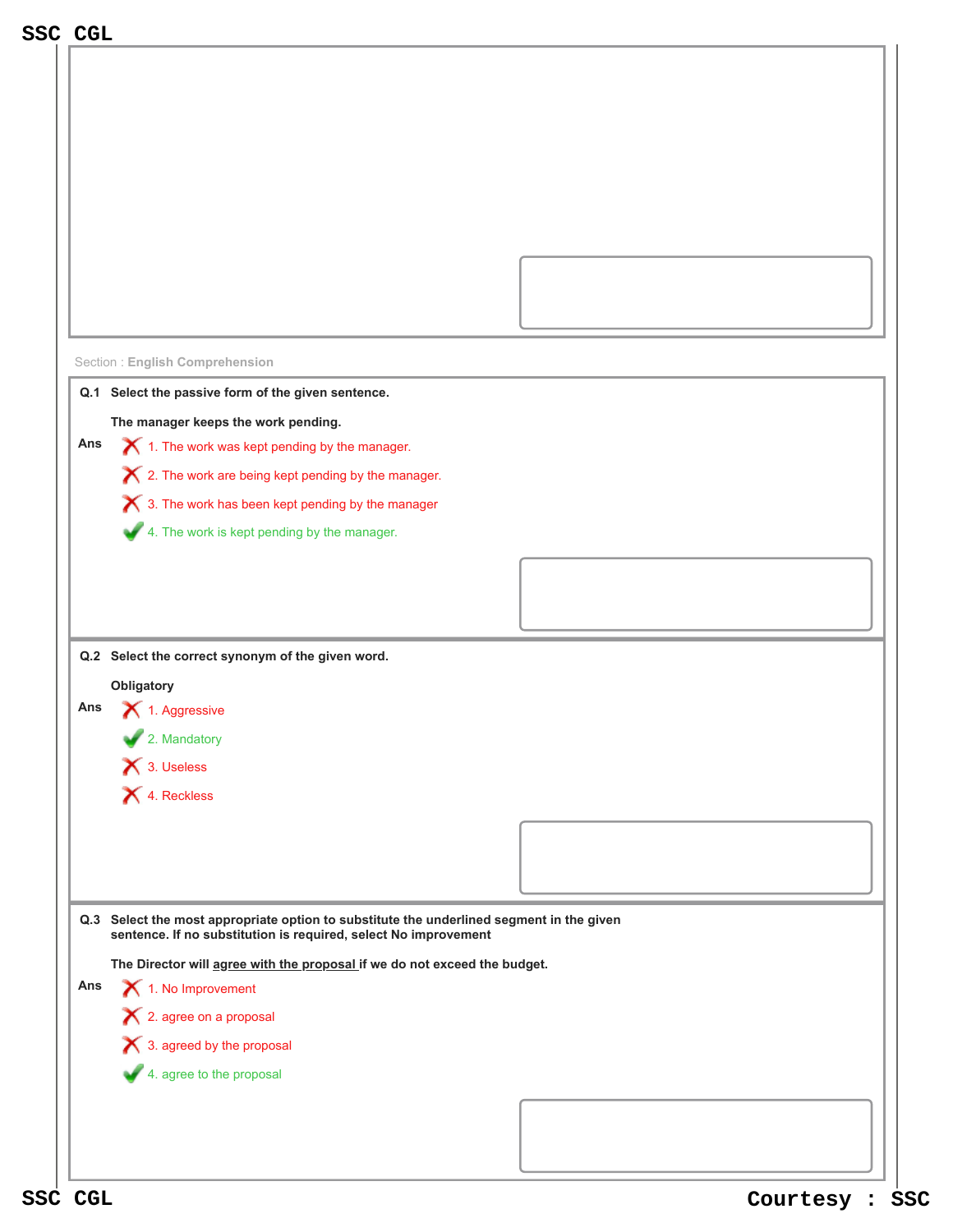| SSC CGL                                                                                                                                                     |  |  |  |  |
|-------------------------------------------------------------------------------------------------------------------------------------------------------------|--|--|--|--|
|                                                                                                                                                             |  |  |  |  |
|                                                                                                                                                             |  |  |  |  |
|                                                                                                                                                             |  |  |  |  |
|                                                                                                                                                             |  |  |  |  |
|                                                                                                                                                             |  |  |  |  |
|                                                                                                                                                             |  |  |  |  |
|                                                                                                                                                             |  |  |  |  |
|                                                                                                                                                             |  |  |  |  |
|                                                                                                                                                             |  |  |  |  |
|                                                                                                                                                             |  |  |  |  |
| <b>Section: English Comprehension</b>                                                                                                                       |  |  |  |  |
| Q.1 Select the passive form of the given sentence.                                                                                                          |  |  |  |  |
| The manager keeps the work pending.                                                                                                                         |  |  |  |  |
| $\blacktriangleright$ 1. The work was kept pending by the manager.<br>Ans                                                                                   |  |  |  |  |
| $\boldsymbol{\times}$ 2. The work are being kept pending by the manager.                                                                                    |  |  |  |  |
| X 3. The work has been kept pending by the manager                                                                                                          |  |  |  |  |
| 4. The work is kept pending by the manager.                                                                                                                 |  |  |  |  |
|                                                                                                                                                             |  |  |  |  |
|                                                                                                                                                             |  |  |  |  |
|                                                                                                                                                             |  |  |  |  |
|                                                                                                                                                             |  |  |  |  |
| Q.2 Select the correct synonym of the given word.                                                                                                           |  |  |  |  |
| Obligatory<br>Ans<br>1. Aggressive                                                                                                                          |  |  |  |  |
| 2. Mandatory                                                                                                                                                |  |  |  |  |
| 13. Useless                                                                                                                                                 |  |  |  |  |
| 4. Reckless                                                                                                                                                 |  |  |  |  |
|                                                                                                                                                             |  |  |  |  |
|                                                                                                                                                             |  |  |  |  |
|                                                                                                                                                             |  |  |  |  |
|                                                                                                                                                             |  |  |  |  |
| Q.3 Select the most appropriate option to substitute the underlined segment in the given<br>sentence. If no substitution is required, select No improvement |  |  |  |  |
| The Director will agree with the proposal if we do not exceed the budget.                                                                                   |  |  |  |  |
| 1. No Improvement<br>Ans                                                                                                                                    |  |  |  |  |
| X 2. agree on a proposal                                                                                                                                    |  |  |  |  |
| X 3. agreed by the proposal                                                                                                                                 |  |  |  |  |
| 4. agree to the proposal                                                                                                                                    |  |  |  |  |
|                                                                                                                                                             |  |  |  |  |
|                                                                                                                                                             |  |  |  |  |
|                                                                                                                                                             |  |  |  |  |
|                                                                                                                                                             |  |  |  |  |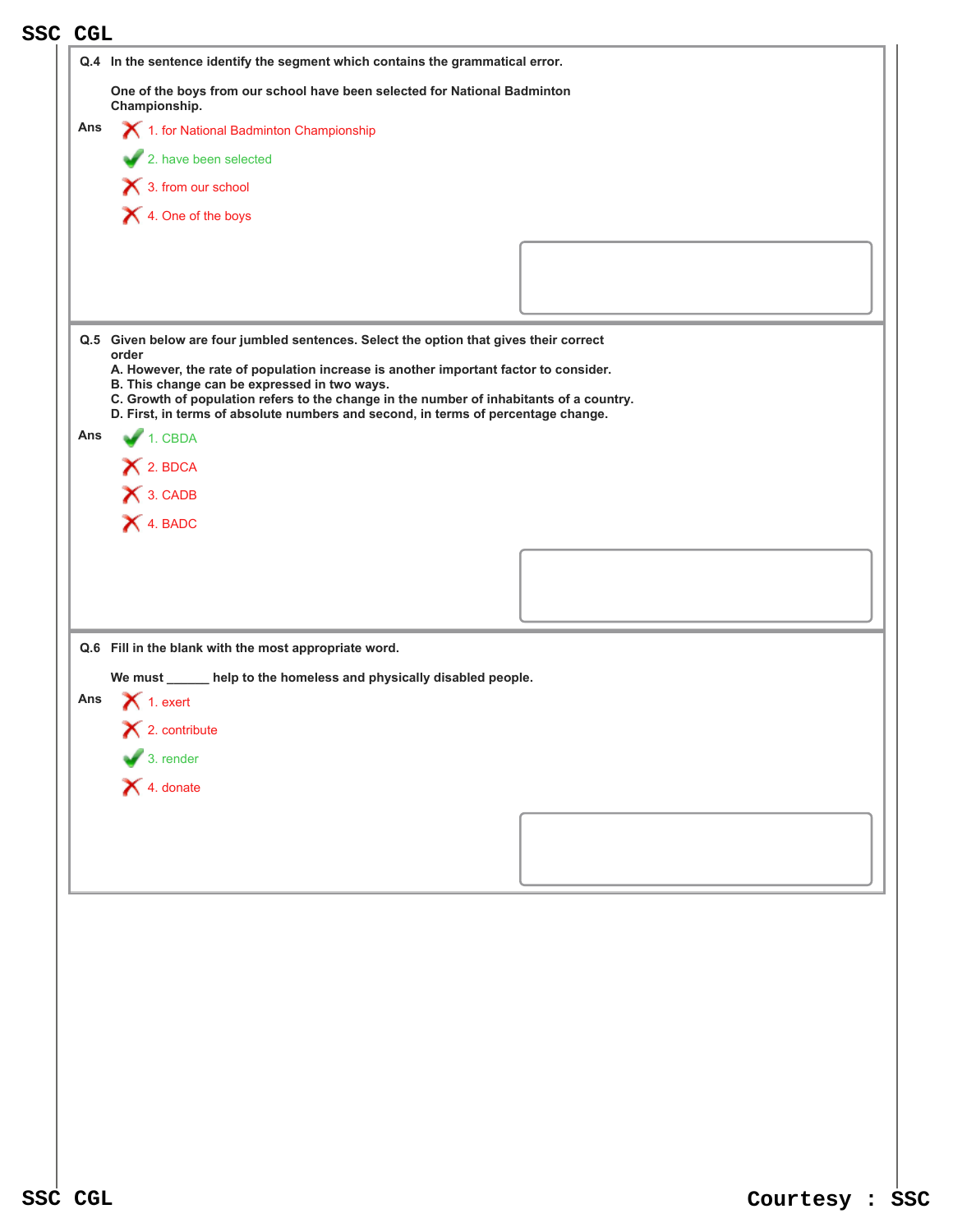| <b>SSC CGL</b> |                                                                                                                                         |  |
|----------------|-----------------------------------------------------------------------------------------------------------------------------------------|--|
|                | Q.4 In the sentence identify the segment which contains the grammatical error.                                                          |  |
|                | One of the boys from our school have been selected for National Badminton<br>Championship.                                              |  |
| Ans            | 1. for National Badminton Championship                                                                                                  |  |
|                | 2. have been selected                                                                                                                   |  |
|                | 1 3. from our school                                                                                                                    |  |
|                | X 4. One of the boys                                                                                                                    |  |
|                |                                                                                                                                         |  |
|                |                                                                                                                                         |  |
|                |                                                                                                                                         |  |
|                | Q.5 Given below are four jumbled sentences. Select the option that gives their correct                                                  |  |
|                | order<br>A. However, the rate of population increase is another important factor to consider.                                           |  |
|                | B. This change can be expressed in two ways.<br>C. Growth of population refers to the change in the number of inhabitants of a country. |  |
| Ans            | D. First, in terms of absolute numbers and second, in terms of percentage change.<br>$1.$ CBDA                                          |  |
|                | X 2. BDCA                                                                                                                               |  |
|                | X 3. CADB                                                                                                                               |  |
|                | X 4. BADC                                                                                                                               |  |
|                |                                                                                                                                         |  |
|                |                                                                                                                                         |  |
|                |                                                                                                                                         |  |
|                | Q.6 Fill in the blank with the most appropriate word.                                                                                   |  |
|                | We must ______ help to the homeless and physically disabled people.                                                                     |  |
| Ans            | $\bigtimes$ 1. exert                                                                                                                    |  |
|                | $\mathsf{\times}$ 2. contribute                                                                                                         |  |
|                | $\bigvee$ 3. render                                                                                                                     |  |
|                | $\bigtimes$ 4. donate                                                                                                                   |  |
|                |                                                                                                                                         |  |
|                |                                                                                                                                         |  |
|                |                                                                                                                                         |  |
|                |                                                                                                                                         |  |
|                |                                                                                                                                         |  |
|                |                                                                                                                                         |  |
|                |                                                                                                                                         |  |
|                |                                                                                                                                         |  |
|                |                                                                                                                                         |  |
|                |                                                                                                                                         |  |
|                |                                                                                                                                         |  |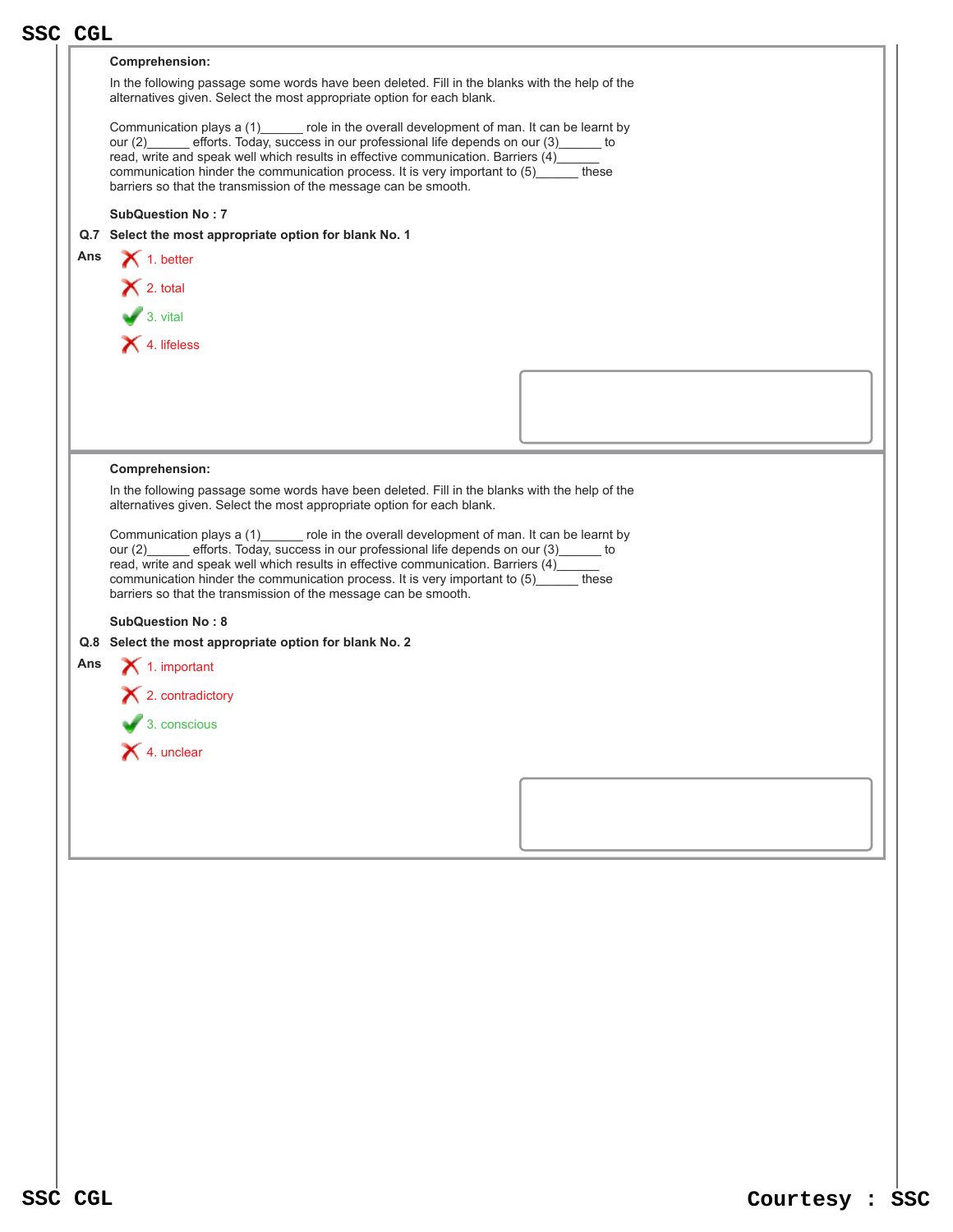|     | <b>SSC CGL</b>                                                                                                                                                                  |  |  |  |
|-----|---------------------------------------------------------------------------------------------------------------------------------------------------------------------------------|--|--|--|
|     | <b>Comprehension:</b>                                                                                                                                                           |  |  |  |
|     | In the following passage some words have been deleted. Fill in the blanks with the help of the                                                                                  |  |  |  |
|     | alternatives given. Select the most appropriate option for each blank.                                                                                                          |  |  |  |
|     | Communication plays a (1) ______ role in the overall development of man. It can be learnt by                                                                                    |  |  |  |
|     | efforts. Today, success in our professional life depends on our (3)______ to<br>our $(2)$                                                                                       |  |  |  |
|     | read, write and speak well which results in effective communication. Barriers (4)___<br>communication hinder the communication process. It is very important to (5)______ these |  |  |  |
|     | barriers so that the transmission of the message can be smooth.                                                                                                                 |  |  |  |
|     | <b>SubQuestion No: 7</b>                                                                                                                                                        |  |  |  |
|     | Q.7 Select the most appropriate option for blank No. 1                                                                                                                          |  |  |  |
| Ans | $\bigtimes$ 1. better                                                                                                                                                           |  |  |  |
|     | $\bigtimes$ 2. total                                                                                                                                                            |  |  |  |
|     | $\overline{\phantom{a}}$ 3. vital                                                                                                                                               |  |  |  |
|     |                                                                                                                                                                                 |  |  |  |
|     | X 4. lifeless                                                                                                                                                                   |  |  |  |
|     |                                                                                                                                                                                 |  |  |  |
|     |                                                                                                                                                                                 |  |  |  |
|     |                                                                                                                                                                                 |  |  |  |
|     |                                                                                                                                                                                 |  |  |  |
|     | Comprehension:                                                                                                                                                                  |  |  |  |
|     | In the following passage some words have been deleted. Fill in the blanks with the help of the                                                                                  |  |  |  |
|     | alternatives given. Select the most appropriate option for each blank.                                                                                                          |  |  |  |
|     | Communication plays a (1) ______ role in the overall development of man. It can be learnt by                                                                                    |  |  |  |
|     | efforts. Today, success in our professional life depends on our (3)______ to<br>our $(2)$                                                                                       |  |  |  |
|     | read, write and speak well which results in effective communication. Barriers (4)____<br>communication hinder the communication process. It is very important to (5)<br>these   |  |  |  |
|     | barriers so that the transmission of the message can be smooth.                                                                                                                 |  |  |  |
|     | <b>SubQuestion No: 8</b>                                                                                                                                                        |  |  |  |
|     | Q.8 Select the most appropriate option for blank No. 2                                                                                                                          |  |  |  |
| Ans | $\bigtimes$ 1. important                                                                                                                                                        |  |  |  |
|     | $\blacktriangleright$ 2. contradictory                                                                                                                                          |  |  |  |
|     |                                                                                                                                                                                 |  |  |  |
|     | $\overline{\phantom{a}}$ 3. conscious                                                                                                                                           |  |  |  |
|     | X 4. unclear                                                                                                                                                                    |  |  |  |
|     |                                                                                                                                                                                 |  |  |  |
|     |                                                                                                                                                                                 |  |  |  |
|     |                                                                                                                                                                                 |  |  |  |
|     |                                                                                                                                                                                 |  |  |  |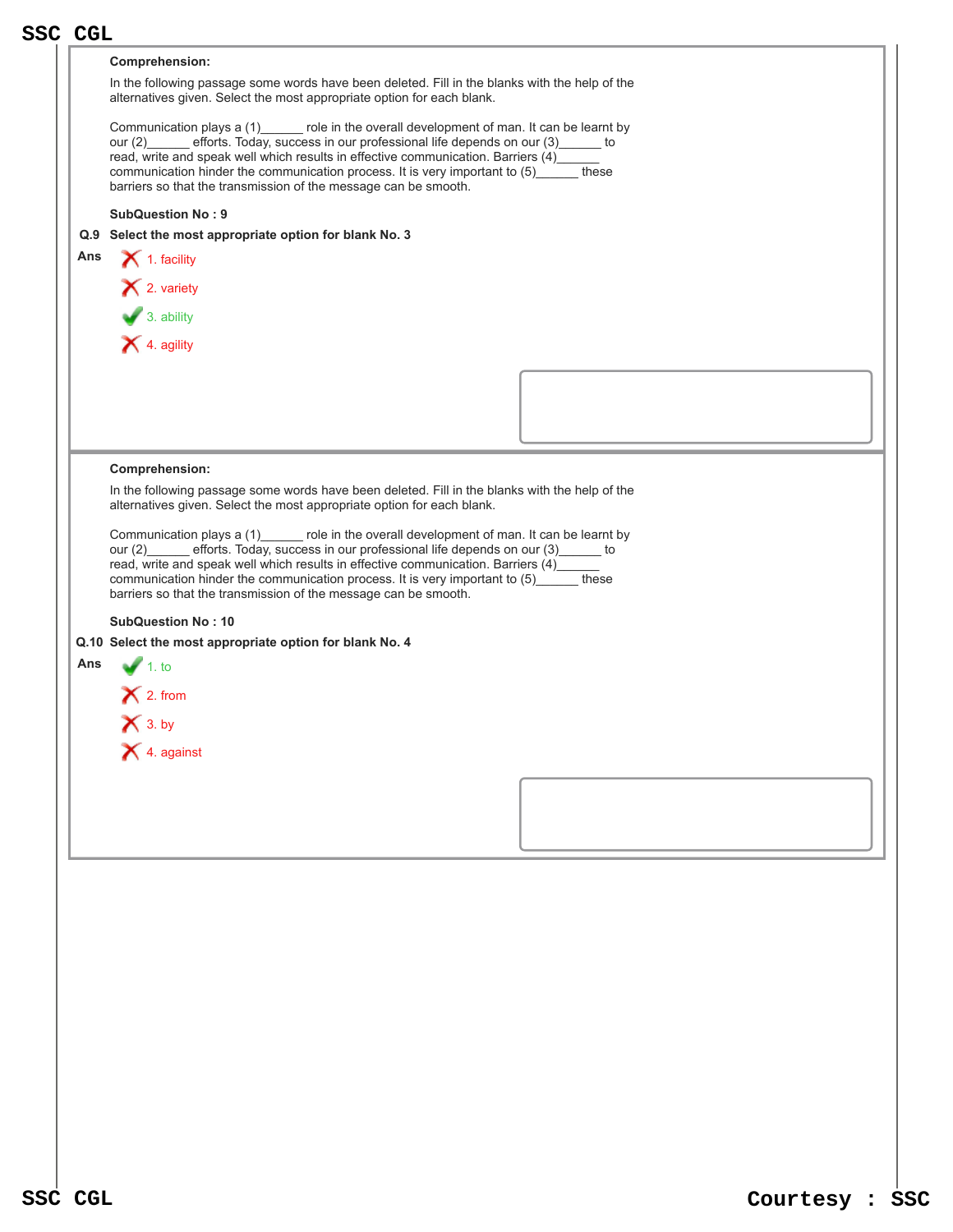|     | <b>SSC CGL</b>                                                                                                                                                                                                                                                                                                                                                                                                                   |  |  |  |  |
|-----|----------------------------------------------------------------------------------------------------------------------------------------------------------------------------------------------------------------------------------------------------------------------------------------------------------------------------------------------------------------------------------------------------------------------------------|--|--|--|--|
|     | Comprehension:                                                                                                                                                                                                                                                                                                                                                                                                                   |  |  |  |  |
|     | In the following passage some words have been deleted. Fill in the blanks with the help of the<br>alternatives given. Select the most appropriate option for each blank.                                                                                                                                                                                                                                                         |  |  |  |  |
|     | Communication plays a (1) role in the overall development of man. It can be learnt by<br>our (2) efforts. Today, success in our professional life depends on our (3) _____ to<br>read, write and speak well which results in effective communication. Barriers (4)<br>communication hinder the communication process. It is very important to (5)______ these<br>barriers so that the transmission of the message can be smooth. |  |  |  |  |
|     |                                                                                                                                                                                                                                                                                                                                                                                                                                  |  |  |  |  |
|     | <b>SubQuestion No: 9</b><br>Q.9 Select the most appropriate option for blank No. 3                                                                                                                                                                                                                                                                                                                                               |  |  |  |  |
| Ans | $\blacktriangleright$ 1. facility                                                                                                                                                                                                                                                                                                                                                                                                |  |  |  |  |
|     | × 2. variety                                                                                                                                                                                                                                                                                                                                                                                                                     |  |  |  |  |
|     |                                                                                                                                                                                                                                                                                                                                                                                                                                  |  |  |  |  |
|     | $\bullet$ 3. ability                                                                                                                                                                                                                                                                                                                                                                                                             |  |  |  |  |
|     | X 4. agility                                                                                                                                                                                                                                                                                                                                                                                                                     |  |  |  |  |
|     |                                                                                                                                                                                                                                                                                                                                                                                                                                  |  |  |  |  |
|     |                                                                                                                                                                                                                                                                                                                                                                                                                                  |  |  |  |  |
|     |                                                                                                                                                                                                                                                                                                                                                                                                                                  |  |  |  |  |
|     |                                                                                                                                                                                                                                                                                                                                                                                                                                  |  |  |  |  |
|     | <b>Comprehension:</b>                                                                                                                                                                                                                                                                                                                                                                                                            |  |  |  |  |
|     | In the following passage some words have been deleted. Fill in the blanks with the help of the<br>alternatives given. Select the most appropriate option for each blank.                                                                                                                                                                                                                                                         |  |  |  |  |
|     | Communication plays a (1) ______ role in the overall development of man. It can be learnt by                                                                                                                                                                                                                                                                                                                                     |  |  |  |  |
|     | our (2) efforts. Today, success in our professional life depends on our (3) to                                                                                                                                                                                                                                                                                                                                                   |  |  |  |  |
|     | read, write and speak well which results in effective communication. Barriers (4)_____<br>communication hinder the communication process. It is very important to (5) these                                                                                                                                                                                                                                                      |  |  |  |  |
|     | barriers so that the transmission of the message can be smooth.                                                                                                                                                                                                                                                                                                                                                                  |  |  |  |  |
|     | <b>SubQuestion No: 10</b>                                                                                                                                                                                                                                                                                                                                                                                                        |  |  |  |  |
|     | Q.10 Select the most appropriate option for blank No. 4                                                                                                                                                                                                                                                                                                                                                                          |  |  |  |  |
| Ans | $\sqrt{1}$ . to                                                                                                                                                                                                                                                                                                                                                                                                                  |  |  |  |  |
|     | $\mathsf{\times}$ 2. from                                                                                                                                                                                                                                                                                                                                                                                                        |  |  |  |  |
|     | $\bigtimes$ 3. by                                                                                                                                                                                                                                                                                                                                                                                                                |  |  |  |  |
|     | X 4. against                                                                                                                                                                                                                                                                                                                                                                                                                     |  |  |  |  |
|     |                                                                                                                                                                                                                                                                                                                                                                                                                                  |  |  |  |  |
|     |                                                                                                                                                                                                                                                                                                                                                                                                                                  |  |  |  |  |
|     |                                                                                                                                                                                                                                                                                                                                                                                                                                  |  |  |  |  |
|     |                                                                                                                                                                                                                                                                                                                                                                                                                                  |  |  |  |  |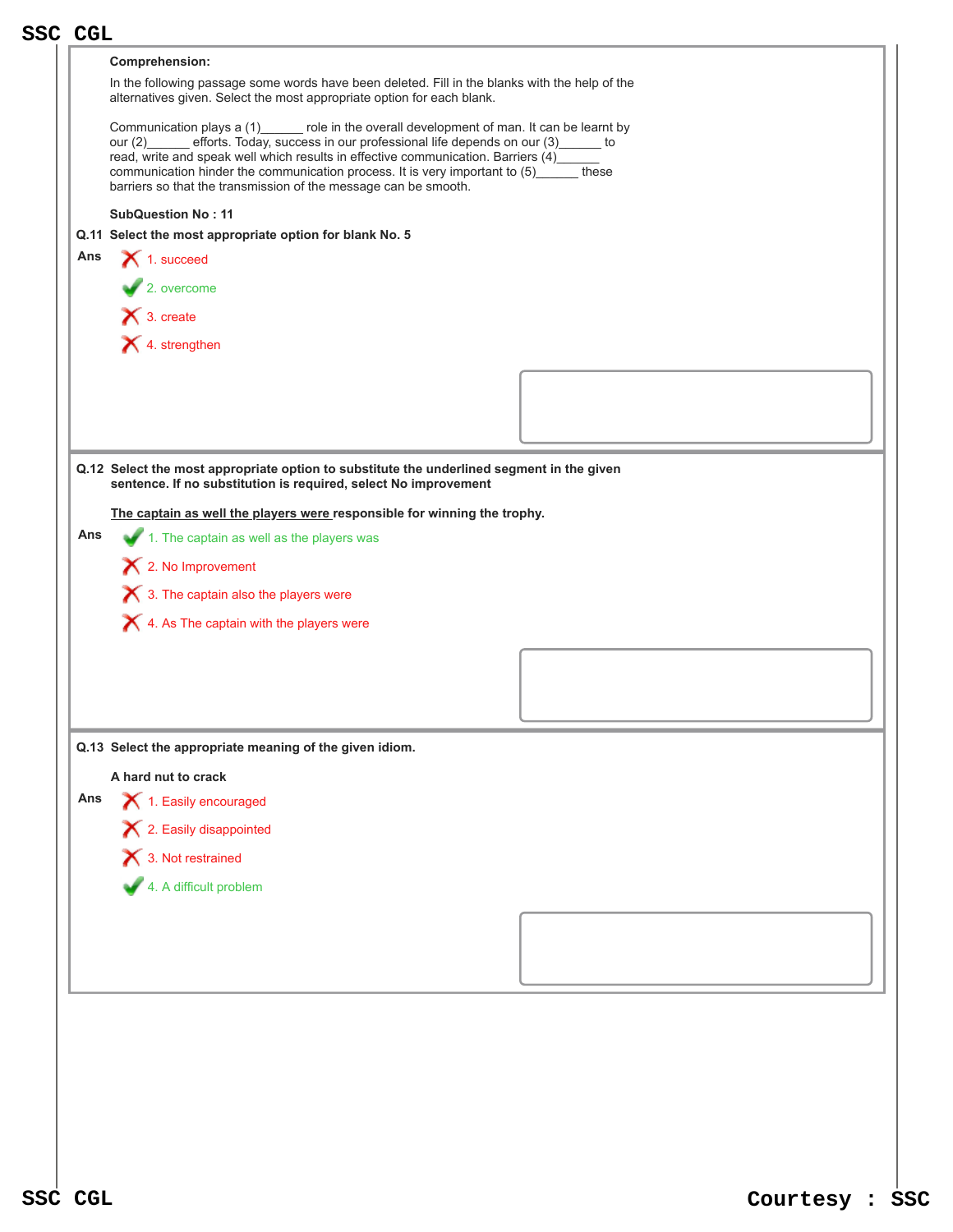|     | <b>SSC CGL</b>                                                                                                                                                                                                                                                                                                                                                                                                                                  |
|-----|-------------------------------------------------------------------------------------------------------------------------------------------------------------------------------------------------------------------------------------------------------------------------------------------------------------------------------------------------------------------------------------------------------------------------------------------------|
|     | Comprehension:                                                                                                                                                                                                                                                                                                                                                                                                                                  |
|     | In the following passage some words have been deleted. Fill in the blanks with the help of the<br>alternatives given. Select the most appropriate option for each blank.                                                                                                                                                                                                                                                                        |
|     | Communication plays a (1) ______ role in the overall development of man. It can be learnt by<br>efforts. Today, success in our professional life depends on our (3)______ to<br>our $(2)$<br>read, write and speak well which results in effective communication. Barriers (4)___<br>communication hinder the communication process. It is very important to (5) _____ these<br>barriers so that the transmission of the message can be smooth. |
|     | <b>SubQuestion No: 11</b>                                                                                                                                                                                                                                                                                                                                                                                                                       |
|     | Q.11 Select the most appropriate option for blank No. 5                                                                                                                                                                                                                                                                                                                                                                                         |
| Ans | 1. succeed                                                                                                                                                                                                                                                                                                                                                                                                                                      |
|     | $\blacktriangleright$ 2. overcome                                                                                                                                                                                                                                                                                                                                                                                                               |
|     | $\mathsf{X}$ 3. create                                                                                                                                                                                                                                                                                                                                                                                                                          |
|     | X 4. strengthen                                                                                                                                                                                                                                                                                                                                                                                                                                 |
|     |                                                                                                                                                                                                                                                                                                                                                                                                                                                 |
|     |                                                                                                                                                                                                                                                                                                                                                                                                                                                 |
|     |                                                                                                                                                                                                                                                                                                                                                                                                                                                 |
|     |                                                                                                                                                                                                                                                                                                                                                                                                                                                 |
|     | Q.12 Select the most appropriate option to substitute the underlined segment in the given<br>sentence. If no substitution is required, select No improvement                                                                                                                                                                                                                                                                                    |
|     | The captain as well the players were responsible for winning the trophy.                                                                                                                                                                                                                                                                                                                                                                        |
| Ans | 1. The captain as well as the players was                                                                                                                                                                                                                                                                                                                                                                                                       |
|     | X 2. No Improvement                                                                                                                                                                                                                                                                                                                                                                                                                             |
|     |                                                                                                                                                                                                                                                                                                                                                                                                                                                 |
|     | $\bigtimes$ 3. The captain also the players were                                                                                                                                                                                                                                                                                                                                                                                                |
|     | $\blacktriangleright$ 4. As The captain with the players were                                                                                                                                                                                                                                                                                                                                                                                   |
|     |                                                                                                                                                                                                                                                                                                                                                                                                                                                 |
|     |                                                                                                                                                                                                                                                                                                                                                                                                                                                 |
|     |                                                                                                                                                                                                                                                                                                                                                                                                                                                 |
|     |                                                                                                                                                                                                                                                                                                                                                                                                                                                 |
|     |                                                                                                                                                                                                                                                                                                                                                                                                                                                 |
|     | Q.13 Select the appropriate meaning of the given idiom.                                                                                                                                                                                                                                                                                                                                                                                         |
|     | A hard nut to crack                                                                                                                                                                                                                                                                                                                                                                                                                             |
| Ans | 1. Easily encouraged                                                                                                                                                                                                                                                                                                                                                                                                                            |
|     | X 2. Easily disappointed                                                                                                                                                                                                                                                                                                                                                                                                                        |
|     | 1 3. Not restrained                                                                                                                                                                                                                                                                                                                                                                                                                             |
|     | 4. A difficult problem                                                                                                                                                                                                                                                                                                                                                                                                                          |
|     |                                                                                                                                                                                                                                                                                                                                                                                                                                                 |
|     |                                                                                                                                                                                                                                                                                                                                                                                                                                                 |
|     |                                                                                                                                                                                                                                                                                                                                                                                                                                                 |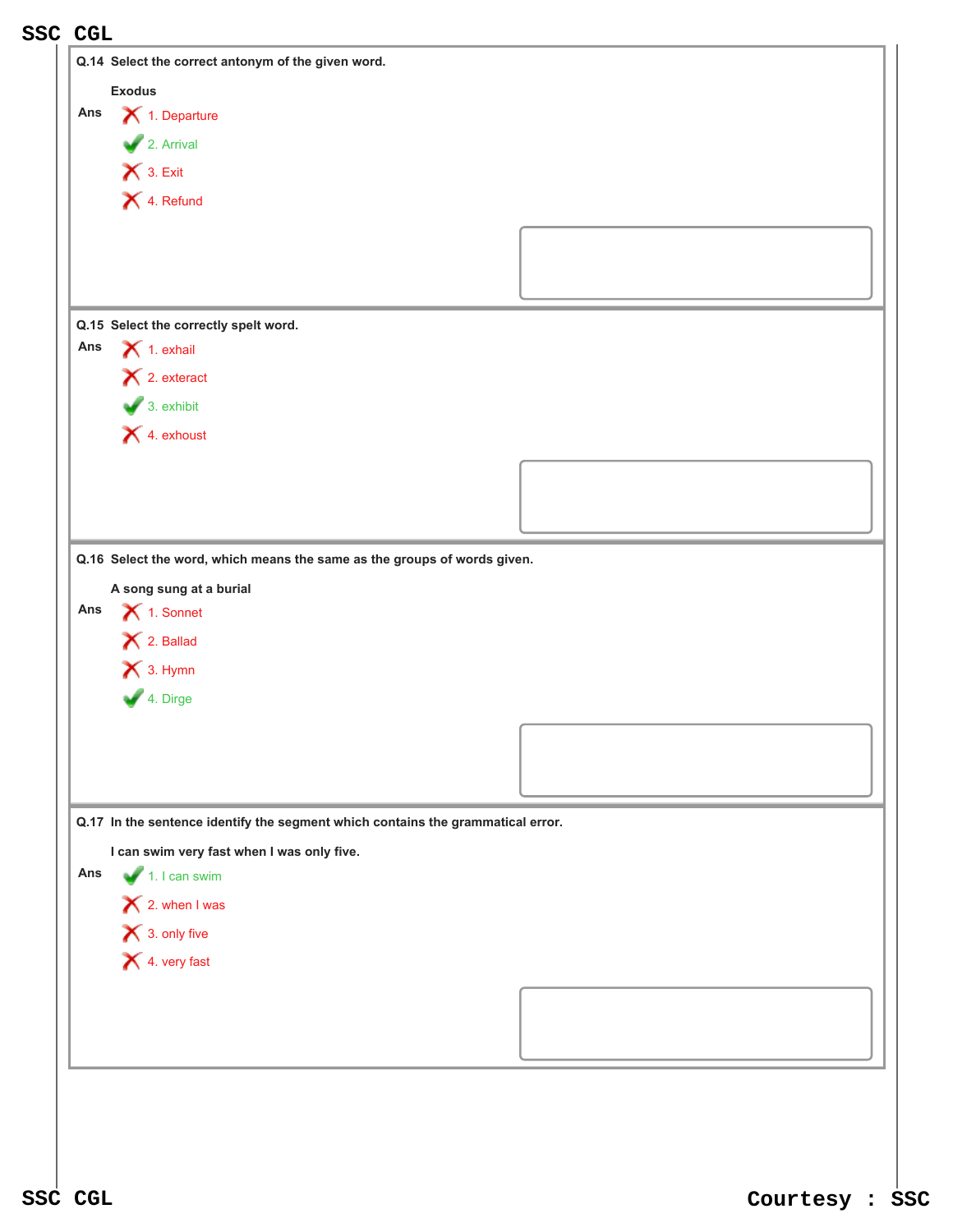|               | <b>SSC CGL</b>                                                                    |  |  |  |
|---------------|-----------------------------------------------------------------------------------|--|--|--|
|               | Q.14 Select the correct antonym of the given word.                                |  |  |  |
| <b>Exodus</b> |                                                                                   |  |  |  |
| Ans           | $\bigtimes$ 1. Departure                                                          |  |  |  |
|               | $\overline{\phantom{a}}$ 2. Arrival                                               |  |  |  |
|               | $\bigtimes$ 3. Exit                                                               |  |  |  |
|               | X 4. Refund                                                                       |  |  |  |
|               |                                                                                   |  |  |  |
|               |                                                                                   |  |  |  |
|               |                                                                                   |  |  |  |
|               |                                                                                   |  |  |  |
|               | Q.15 Select the correctly spelt word.                                             |  |  |  |
| Ans           | $\bigtimes$ 1. exhail                                                             |  |  |  |
|               | $\mathsf{X}$ 2. exteract                                                          |  |  |  |
|               | $\bigvee$ 3. exhibit                                                              |  |  |  |
|               | X 4. exhoust                                                                      |  |  |  |
|               |                                                                                   |  |  |  |
|               |                                                                                   |  |  |  |
|               |                                                                                   |  |  |  |
| Ans           |                                                                                   |  |  |  |
|               | $\bigtimes$ 1. Sonnet<br>$\bigtimes$ 2. Ballad<br>$\bigtimes$ 3. Hymn<br>4. Dirge |  |  |  |
|               |                                                                                   |  |  |  |
|               |                                                                                   |  |  |  |
|               |                                                                                   |  |  |  |
|               | Q.17 In the sentence identify the segment which contains the grammatical error.   |  |  |  |
|               | I can swim very fast when I was only five.                                        |  |  |  |
| Ans           | $\blacktriangleright$ 1. I can swim                                               |  |  |  |
|               | $\mathsf{X}$ 2. when I was                                                        |  |  |  |
|               |                                                                                   |  |  |  |
|               | $\bigtimes$ 3. only five<br>X 4. very fast                                        |  |  |  |
|               |                                                                                   |  |  |  |
|               |                                                                                   |  |  |  |
|               |                                                                                   |  |  |  |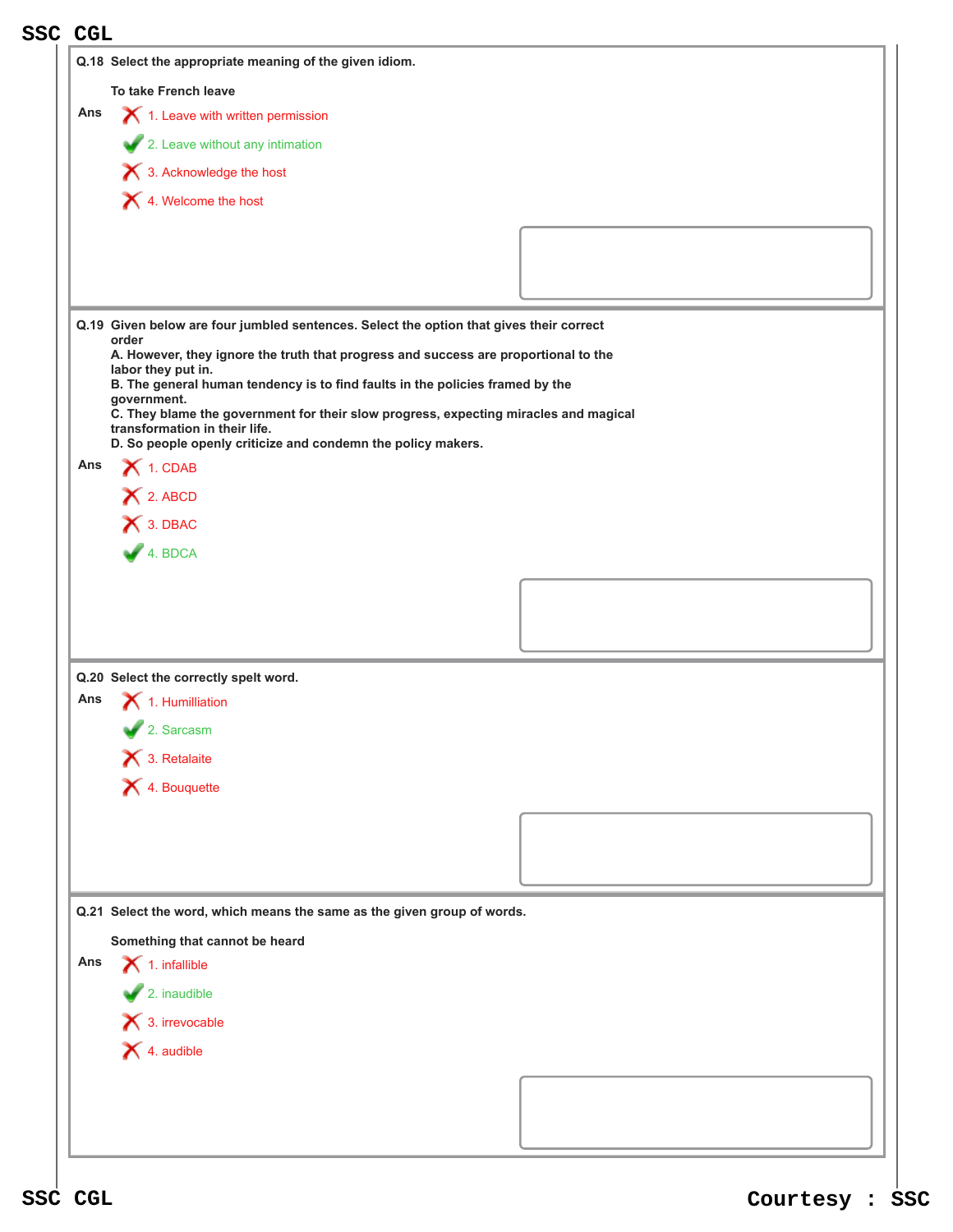| <b>SSC CGL</b>                                                          |                                                                                                                       |  |  |  |  |
|-------------------------------------------------------------------------|-----------------------------------------------------------------------------------------------------------------------|--|--|--|--|
|                                                                         | Q.18 Select the appropriate meaning of the given idiom.                                                               |  |  |  |  |
|                                                                         | To take French leave                                                                                                  |  |  |  |  |
| Ans                                                                     | 1. Leave with written permission                                                                                      |  |  |  |  |
|                                                                         | 2. Leave without any intimation                                                                                       |  |  |  |  |
|                                                                         | X 3. Acknowledge the host                                                                                             |  |  |  |  |
|                                                                         | X 4. Welcome the host                                                                                                 |  |  |  |  |
|                                                                         |                                                                                                                       |  |  |  |  |
|                                                                         |                                                                                                                       |  |  |  |  |
|                                                                         |                                                                                                                       |  |  |  |  |
|                                                                         |                                                                                                                       |  |  |  |  |
|                                                                         | Q.19 Given below are four jumbled sentences. Select the option that gives their correct<br>order                      |  |  |  |  |
|                                                                         | A. However, they ignore the truth that progress and success are proportional to the<br>labor they put in.             |  |  |  |  |
|                                                                         | B. The general human tendency is to find faults in the policies framed by the<br>government.                          |  |  |  |  |
|                                                                         | C. They blame the government for their slow progress, expecting miracles and magical<br>transformation in their life. |  |  |  |  |
|                                                                         | D. So people openly criticize and condemn the policy makers.                                                          |  |  |  |  |
|                                                                         | Ans $\bigtimes$ 1. CDAB                                                                                               |  |  |  |  |
|                                                                         | X 2. ABCD                                                                                                             |  |  |  |  |
|                                                                         | X 3. DBAC                                                                                                             |  |  |  |  |
|                                                                         | 4. BDCA                                                                                                               |  |  |  |  |
|                                                                         |                                                                                                                       |  |  |  |  |
|                                                                         |                                                                                                                       |  |  |  |  |
|                                                                         |                                                                                                                       |  |  |  |  |
|                                                                         | Q.20 Select the correctly spelt word.                                                                                 |  |  |  |  |
| Ans                                                                     | 1. Humilliation                                                                                                       |  |  |  |  |
|                                                                         | 2. Sarcasm                                                                                                            |  |  |  |  |
|                                                                         | $\blacktriangleright$ 3. Retalaite                                                                                    |  |  |  |  |
|                                                                         | X 4. Bouquette                                                                                                        |  |  |  |  |
|                                                                         |                                                                                                                       |  |  |  |  |
|                                                                         |                                                                                                                       |  |  |  |  |
|                                                                         |                                                                                                                       |  |  |  |  |
|                                                                         |                                                                                                                       |  |  |  |  |
| Q.21 Select the word, which means the same as the given group of words. |                                                                                                                       |  |  |  |  |
| Something that cannot be heard                                          |                                                                                                                       |  |  |  |  |
| Ans                                                                     | $\blacktriangleright$ 1. infallible                                                                                   |  |  |  |  |
|                                                                         | $\sqrt{2}$ . inaudible                                                                                                |  |  |  |  |
|                                                                         | 3. irrevocable                                                                                                        |  |  |  |  |
|                                                                         | $\blacktriangleright$ 4. audible                                                                                      |  |  |  |  |
|                                                                         |                                                                                                                       |  |  |  |  |
|                                                                         |                                                                                                                       |  |  |  |  |
|                                                                         |                                                                                                                       |  |  |  |  |
|                                                                         |                                                                                                                       |  |  |  |  |